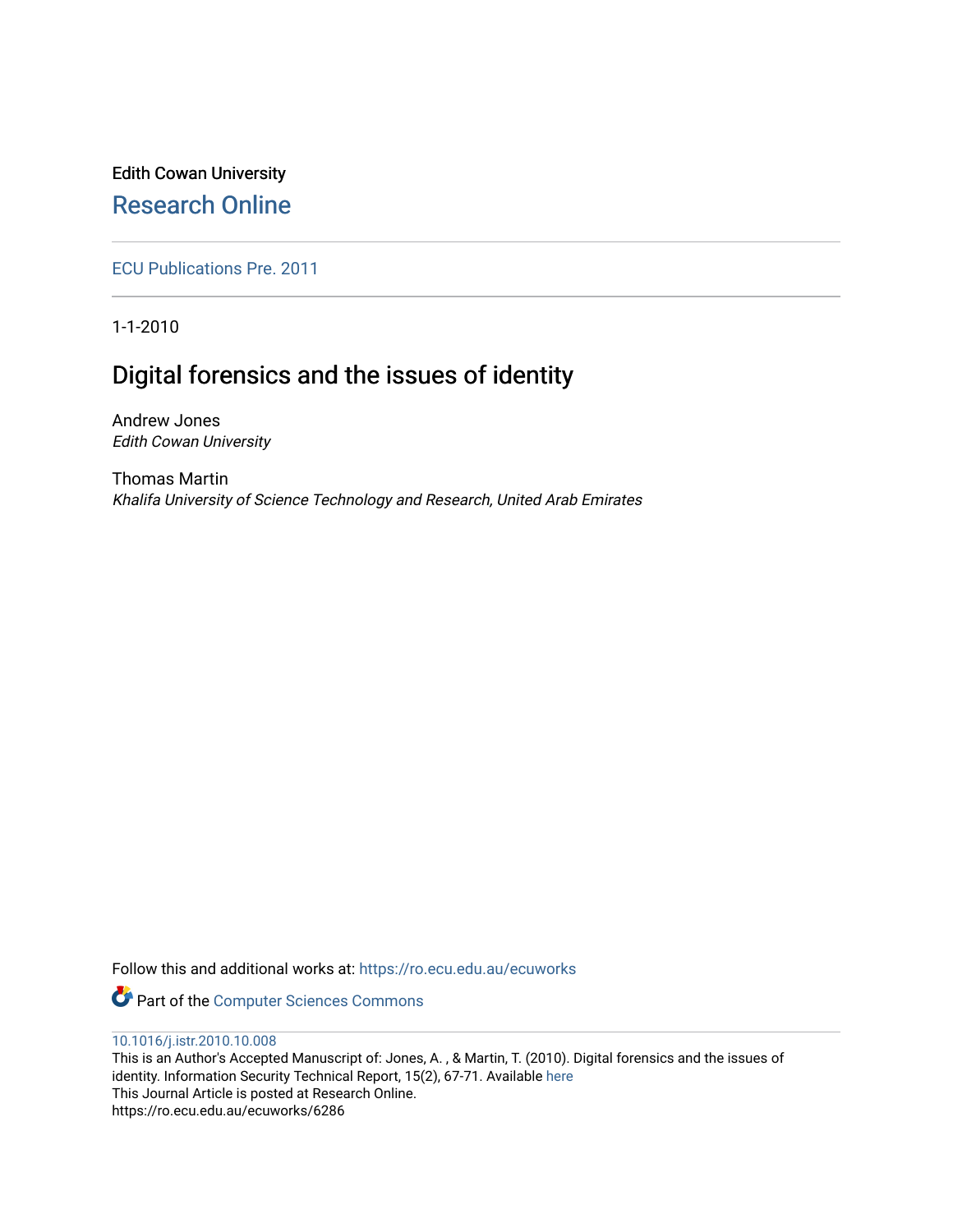Edith Cowan University [Research Online](https://ro.ecu.edu.au/) 

[ECU Publications Pre. 2011](https://ro.ecu.edu.au/ecuworks)

1-1-2010

# Digital forensics and the issues of identity

Andrew Jones Edith Cowan University

Thomas Martin Khalifa University of Science Technology and Research, United Arab Emirates

Follow this and additional works at: [https://ro.ecu.edu.au/ecuworks](https://ro.ecu.edu.au/ecuworks?utm_source=ro.ecu.edu.au%2Fecuworks%2F6286&utm_medium=PDF&utm_campaign=PDFCoverPages) 

Part of the [Computer Sciences Commons](http://network.bepress.com/hgg/discipline/142?utm_source=ro.ecu.edu.au%2Fecuworks%2F6286&utm_medium=PDF&utm_campaign=PDFCoverPages)

## [10.1016/j.istr.2010.10.008](http://dx.doi.org/10.1016/j.istr.2010.10.008)

This is an Author's Accepted Manuscript of: Jones, A. , & Martin, T. (2010). Digital forensics and the issues of identity. Information Security Technical Report, 15(2), 67-71. Available [here](http://dx.doi.org/10.1016/j.istr.2010.10.008)  This Journal Article is posted at Research Online. https://ro.ecu.edu.au/ecuworks/6286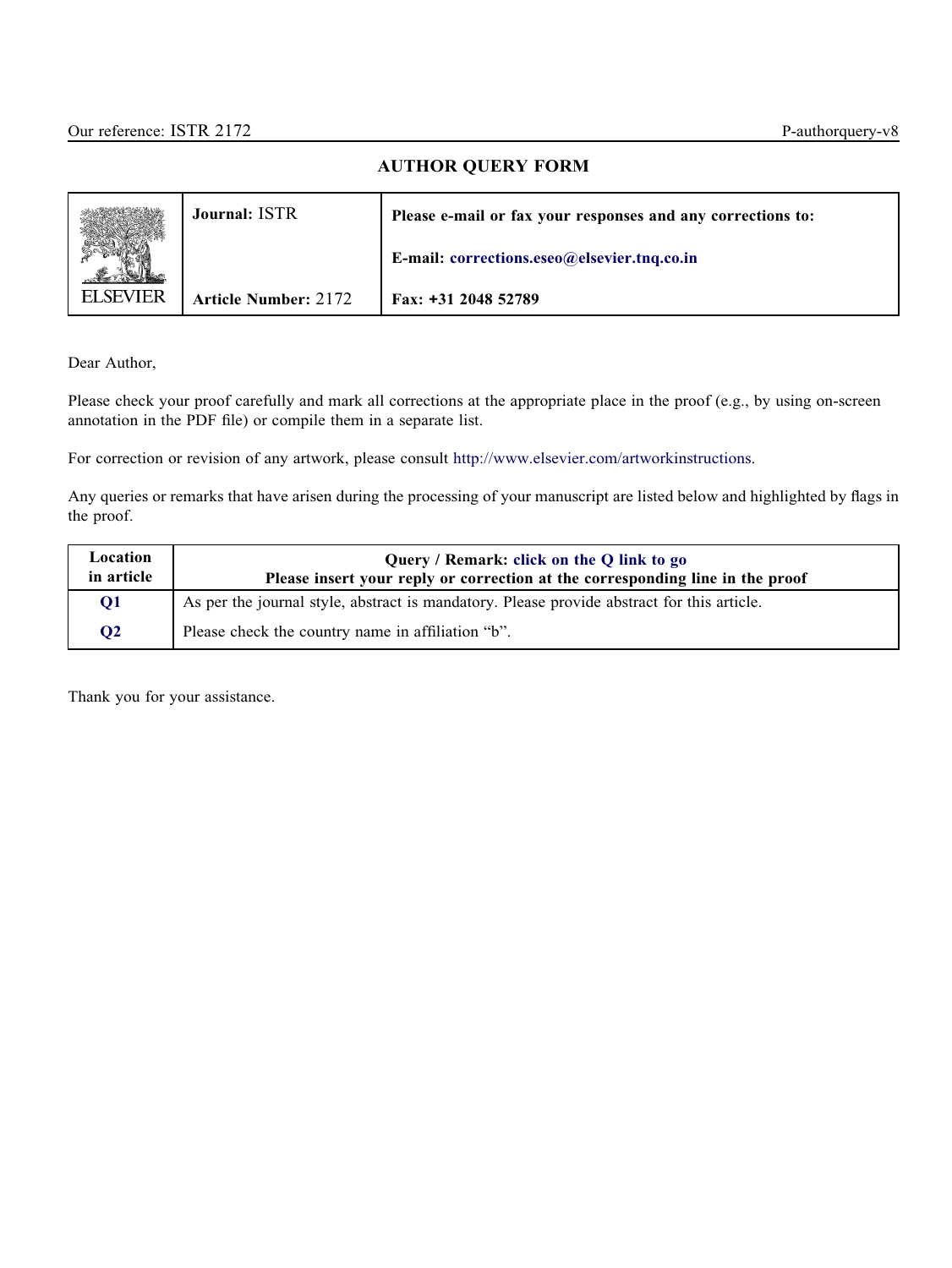# AUTHOR QUERY FORM

|           | Journal: ISTR               | Please e-mail or fax your responses and any corrections to: |
|-----------|-----------------------------|-------------------------------------------------------------|
|           |                             | E-mail: corrections.eseo@elsevier.tng.co.in                 |
| EL SEVIER | <b>Article Number: 2172</b> | Fax: +31 2048 52789                                         |

Dear Author,

Please check your proof carefully and mark all corrections at the appropriate place in the proof (e.g., by using on-screen annotation in the PDF file) or compile them in a separate list.

For correction or revision of any artwork, please consult [http://www.elsevier.com/artworkinstructions](mailto:http://www.elsevier.com/artworkinstructions).

Any queries or remarks that have arisen during the processing of your manuscript are listed below and highlighted by flags in the proof.

| Location<br>in article | Ouery / Remark: click on the O link to go<br>Please insert your reply or correction at the corresponding line in the proof |  |
|------------------------|----------------------------------------------------------------------------------------------------------------------------|--|
| Q1                     | As per the journal style, abstract is mandatory. Please provide abstract for this article.                                 |  |
| O2                     | Please check the country name in affiliation "b".                                                                          |  |

Thank you for your assistance.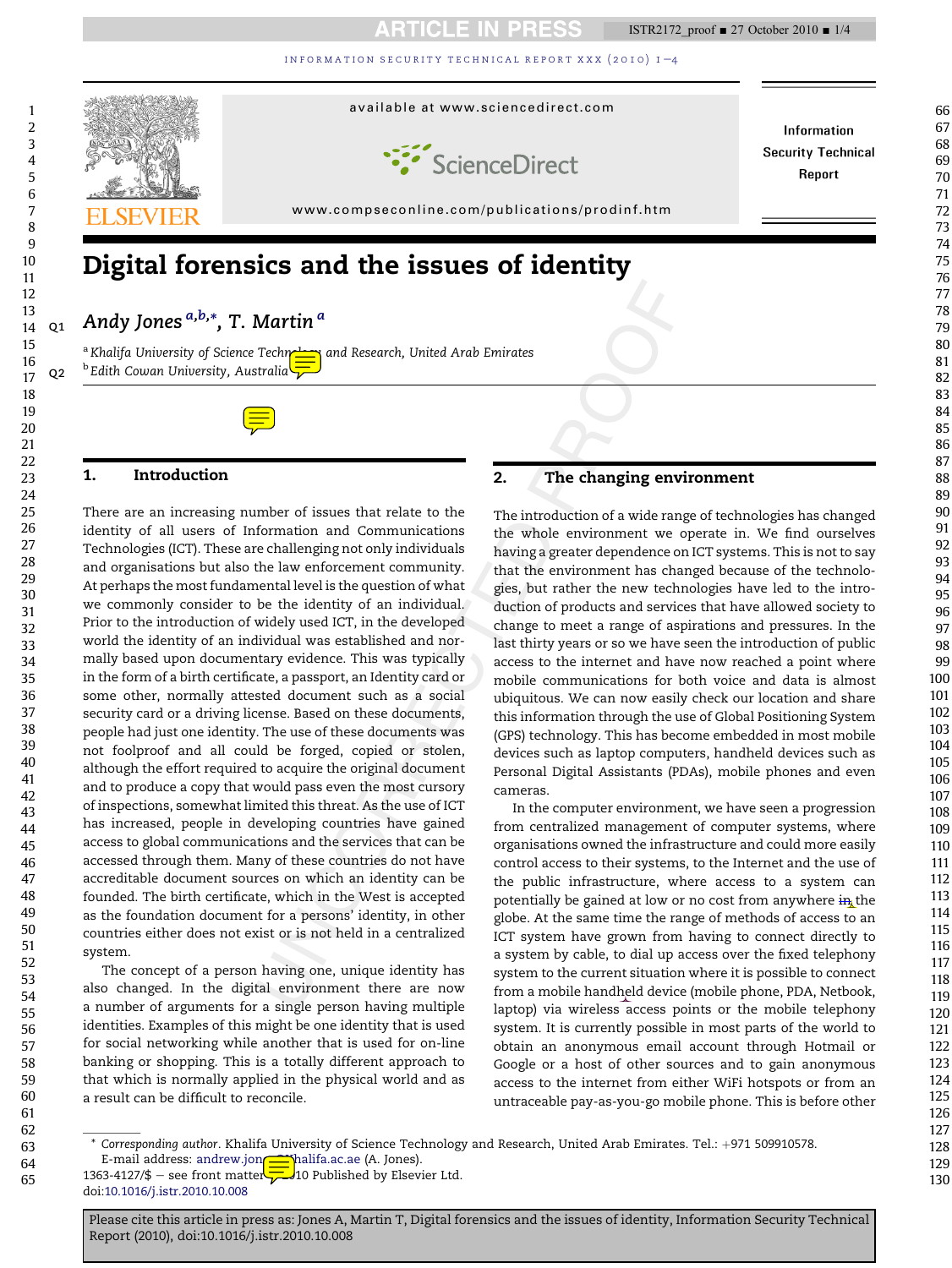#### **ARTICLE IN PRESS** ISTR2172\_proof ■ 27 October 2010 ■ 1/4

INFORMATION SECURITY TECHNICAL REPORT XXX (2010)  $I=4$  $I=4$ 



# Digital forensics and the issues of identity

 $_{\mathrm{Q1}}$  Andy Jones  $^{a,b,*}$ , T. Martin  $^{a}$ 

<sup>a</sup> Khalifa University of Science Technology and Research, United Arab Emirates **b Edith Cowan University, Australia** 



There are an increasing number of issues that relate to the identity of all users of Information and Communications Technologies (ICT). These are challenging not only individuals and organisations but also the law enforcement community. At perhaps the most fundamental level is the question of what we commonly consider to be the identity of an individual. Prior to the introduction of widely used ICT, in the developed world the identity of an individual was established and normally based upon documentary evidence. This was typically in the form of a birth certificate, a passport, an Identity card or some other, normally attested document such as a social security card or a driving license. Based on these documents, people had just one identity. The use of these documents was not foolproof and all could be forged, copied or stolen, although the effort required to acquire the original document and to produce a copy that would pass even the most cursory of inspections, somewhat limited this threat. As the use of ICT has increased, people in developing countries have gained access to global communications and the services that can be accessed through them. Many of these countries do not have accreditable document sources on which an identity can be founded. The birth certificate, which in the West is accepted as the foundation document for a persons' identity, in other countries either does not exist or is not held in a centralized system.

The concept of a person having one, unique identity has also changed. In the digital environment there are now a number of arguments for a single person having multiple identities. Examples of this might be one identity that is used for social networking while another that is used for on-line banking or shopping. This is a totally different approach to that which is normally applied in the physical world and as a result can be difficult to reconcile.

# 2. The changing environment

The introduction of a wide range of technologies has changed the whole environment we operate in. We find ourselves having a greater dependence on ICT systems. This is not to say that the environment has changed because of the technologies, but rather the new technologies have led to the introduction of products and services that have allowed society to change to meet a range of aspirations and pressures. In the last thirty years or so we have seen the introduction of public access to the internet and have now reached a point where mobile communications for both voice and data is almost ubiquitous. We can now easily check our location and share this information through the use of Global Positioning System (GPS) technology. This has become embedded in most mobile devices such as laptop computers, handheld devices such as Personal Digital Assistants (PDAs), mobile phones and even cameras.

In the computer environment, we have seen a progression from centralized management of computer systems, where organisations owned the infrastructure and could more easily control access to their systems, to the Internet and the use of the public infrastructure, where access to a system can potentially be gained at low or no cost from anywhere in the globe. At the same time the range of methods of access to an ICT system have grown from having to connect directly to a system by cable, to dial up access over the fixed telephony system to the current situation where it is possible to connect from a mobile handheld device (mobile phone, PDA, Netbook, laptop) via wireless access points or the mobile telephony system. It is currently possible in most parts of the world to obtain an anonymous email account through Hotmail or Google or a host of other sources and to gain anonymous access to the internet from either WiFi hotspots or from an untraceable pay-as-you-go mobile phone. This is before other

\* Corresponding author. Khalifa University of Science Technology and Research, United Arab Emirates. Tel.: þ971 509910578. E-mail address: andrew.jon $\square$ halifa.ac.ae (A. Jones). 1363-4127/\$ – see front matter <sup>2</sup> 2010 Published by Elsevier Ltd. doi[:10.1016/j.istr.2010.10.008](http://dx.doi.org/10.1016/j.istr.2010.10.008)

<span id="page-2-0"></span> 

> Please cite this article in press as: Jones A, Martin T, Digital forensics and the issues of identity, Information Security Technical Report (2010), doi:10.1016/j.istr.2010.10.008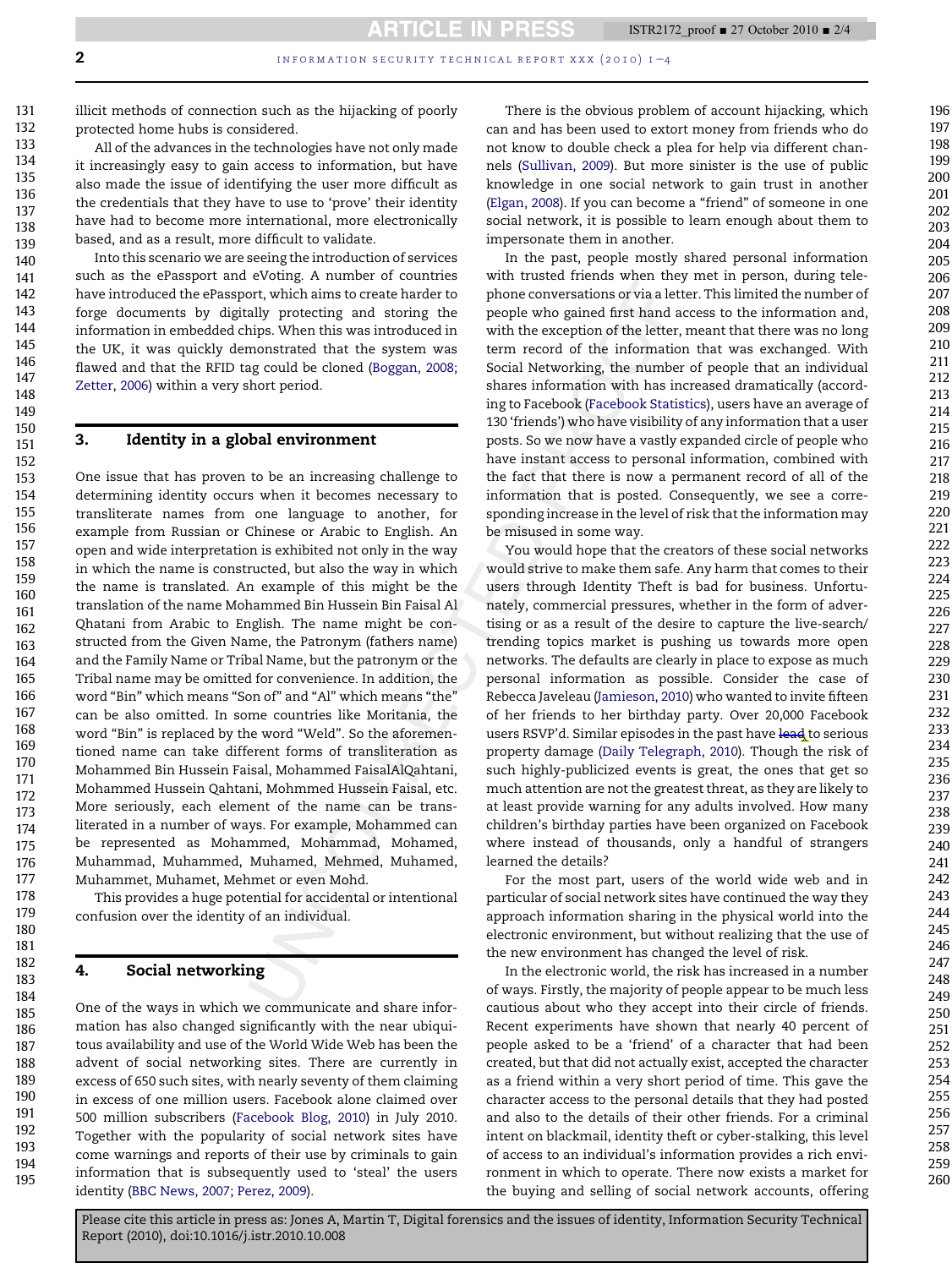illicit methods of connection such as the hijacking of poorly protected home hubs is considered.

All of the advances in the technologies have not only made it increasingly easy to gain access to information, but have also made the issue of identifying the user more difficult as the credentials that they have to use to 'prove' their identity have had to become more international, more electronically based, and as a result, more difficult to validate.

Into this scenario we are seeing the introduction of services such as the ePassport and eVoting. A number of countries have introduced the ePassport, which aims to create harder to forge documents by digitally protecting and storing the information in embedded chips. When this was introduced in the UK, it was quickly demonstrated that the system was flawed and that the RFID tag could be cloned [\(Boggan, 2008;](#page-5-0) [Zetter, 2006\)](#page-5-0) within a very short period.

#### 3. Identity in a global environment

One issue that has proven to be an increasing challenge to determining identity occurs when it becomes necessary to transliterate names from one language to another, for example from Russian or Chinese or Arabic to English. An open and wide interpretation is exhibited not only in the way in which the name is constructed, but also the way in which the name is translated. An example of this might be the translation of the name Mohammed Bin Hussein Bin Faisal Al Qhatani from Arabic to English. The name might be constructed from the Given Name, the Patronym (fathers name) and the Family Name or Tribal Name, but the patronym or the Tribal name may be omitted for convenience. In addition, the word "Bin" which means "Son of" and "Al" which means "the" can be also omitted. In some countries like Moritania, the word "Bin" is replaced by the word "Weld". So the aforementioned name can take different forms of transliteration as Mohammed Bin Hussein Faisal, Mohammed FaisalAlQahtani, Mohammed Hussein Qahtani, Mohmmed Hussein Faisal, etc. More seriously, each element of the name can be transliterated in a number of ways. For example, Mohammed can be represented as Mohammed, Mohammad, Mohamed, Muhammad, Muhammed, Muhamed, Mehmed, Muhamed, Muhammet, Muhamet, Mehmet or even Mohd.

This provides a huge potential for accidental or intentional confusion over the identity of an individual.

#### 4. Social networking

One of the ways in which we communicate and share information has also changed significantly with the near ubiquitous availability and use of the World Wide Web has been the advent of social networking sites. There are currently in excess of 650 such sites, with nearly seventy of them claiming in excess of one million users. Facebook alone claimed over 500 million subscribers ([Facebook Blog, 2010\)](#page-5-0) in July 2010. Together with the popularity of social network sites have come warnings and reports of their use by criminals to gain information that is subsequently used to 'steal' the users identity [\(BBC News, 2007; Perez, 2009\)](#page-5-0).

There is the obvious problem of account hijacking, which can and has been used to extort money from friends who do not know to double check a plea for help via different channels ([Sullivan, 2009\)](#page-5-0). But more sinister is the use of public knowledge in one social network to gain trust in another ([Elgan, 2008](#page-5-0)). If you can become a "friend" of someone in one social network, it is possible to learn enough about them to impersonate them in another.

In the past, people mostly shared personal information with trusted friends when they met in person, during telephone conversations or via a letter. This limited the number of people who gained first hand access to the information and, with the exception of the letter, meant that there was no long term record of the information that was exchanged. With Social Networking, the number of people that an individual shares information with has increased dramatically (according to Facebook ([Facebook Statistics](#page-5-0)), users have an average of 130 'friends') who have visibility of any information that a user posts. So we now have a vastly expanded circle of people who have instant access to personal information, combined with the fact that there is now a permanent record of all of the information that is posted. Consequently, we see a corresponding increase in the level of risk that the information may be misused in some way.

You would hope that the creators of these social networks would strive to make them safe. Any harm that comes to their users through Identity Theft is bad for business. Unfortunately, commercial pressures, whether in the form of advertising or as a result of the desire to capture the live-search/ trending topics market is pushing us towards more open networks. The defaults are clearly in place to expose as much personal information as possible. Consider the case of Rebecca Javeleau [\(Jamieson, 2010](#page-5-0)) who wanted to invite fifteen of her friends to her birthday party. Over 20,000 Facebook users RSVP'd. Similar episodes in the past have lead to serious property damage ([Daily Telegraph, 2010\)](#page-5-0). Though the risk of such highly-publicized events is great, the ones that get so much attention are not the greatest threat, as they are likely to at least provide warning for any adults involved. How many children's birthday parties have been organized on Facebook where instead of thousands, only a handful of strangers learned the details?

For the most part, users of the world wide web and in particular of social network sites have continued the way they approach information sharing in the physical world into the electronic environment, but without realizing that the use of the new environment has changed the level of risk.

In the electronic world, the risk has increased in a number of ways. Firstly, the majority of people appear to be much less cautious about who they accept into their circle of friends. Recent experiments have shown that nearly 40 percent of people asked to be a 'friend' of a character that had been created, but that did not actually exist, accepted the character as a friend within a very short period of time. This gave the character access to the personal details that they had posted and also to the details of their other friends. For a criminal intent on blackmail, identity theft or cyber-stalking, this level of access to an individual's information provides a rich environment in which to operate. There now exists a market for the buying and selling of social network accounts, offering

Please cite this article in press as: Jones A, Martin T, Digital forensics and the issues of identity, Information Security Technical Report (2010), doi:10.1016/j.istr.2010.10.008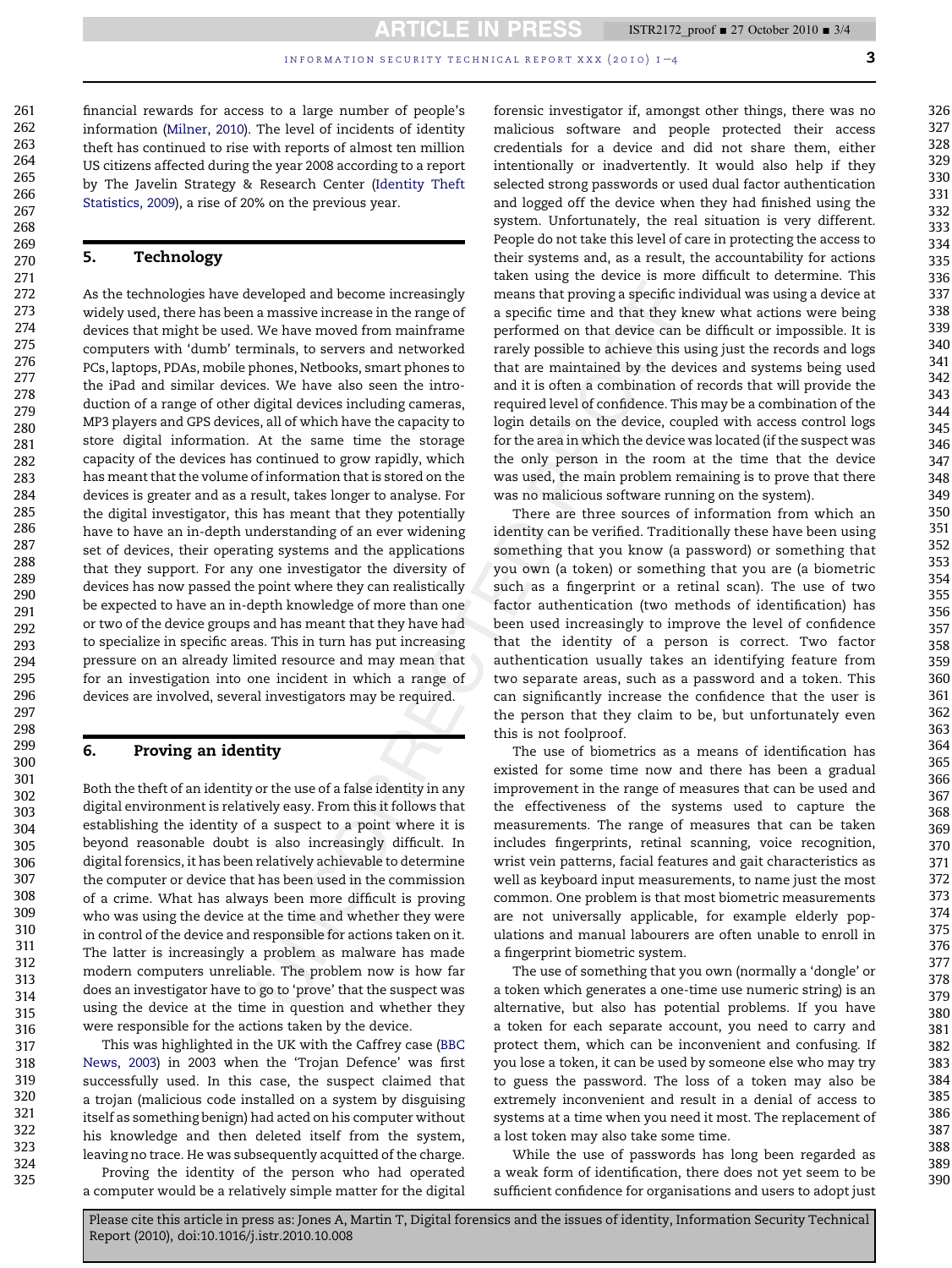financial rewards for access to a large number of people's information [\(Milner, 2010\)](#page-5-0). The level of incidents of identity theft has continued to rise with reports of almost ten million US citizens affected during the year 2008 according to a report by The Javelin Strategy & Research Center [\(Identity Theft](#page-5-0) [Statistics, 2009\)](#page-5-0), a rise of 20% on the previous year.

### 5. Technology

As the technologies have developed and become increasingly widely used, there has been a massive increase in the range of devices that might be used. We have moved from mainframe computers with 'dumb' terminals, to servers and networked PCs, laptops, PDAs, mobile phones, Netbooks, smart phones to the iPad and similar devices. We have also seen the introduction of a range of other digital devices including cameras, MP3 players and GPS devices, all of which have the capacity to store digital information. At the same time the storage capacity of the devices has continued to grow rapidly, which has meant that the volume of information that is stored on the devices is greater and as a result, takes longer to analyse. For the digital investigator, this has meant that they potentially have to have an in-depth understanding of an ever widening set of devices, their operating systems and the applications that they support. For any one investigator the diversity of devices has now passed the point where they can realistically be expected to have an in-depth knowledge of more than one or two of the device groups and has meant that they have had to specialize in specific areas. This in turn has put increasing pressure on an already limited resource and may mean that for an investigation into one incident in which a range of devices are involved, several investigators may be required.

#### 6. Proving an identity

Both the theft of an identity or the use of a false identity in any digital environment is relatively easy. From this it follows that establishing the identity of a suspect to a point where it is beyond reasonable doubt is also increasingly difficult. In digital forensics, it has been relatively achievable to determine the computer or device that has been used in the commission of a crime. What has always been more difficult is proving who was using the device at the time and whether they were in control of the device and responsible for actions taken on it. The latter is increasingly a problem as malware has made modern computers unreliable. The problem now is how far does an investigator have to go to 'prove' that the suspect was using the device at the time in question and whether they were responsible for the actions taken by the device.

This was highlighted in the UK with the Caffrey case ([BBC](#page-5-0) [News, 2003\)](#page-5-0) in 2003 when the 'Trojan Defence' was first successfully used. In this case, the suspect claimed that a trojan (malicious code installed on a system by disguising itself as something benign) had acted on his computer without his knowledge and then deleted itself from the system, leaving no trace. He was subsequently acquitted of the charge.

Proving the identity of the person who had operated a computer would be a relatively simple matter for the digital

forensic investigator if, amongst other things, there was no malicious software and people protected their access credentials for a device and did not share them, either intentionally or inadvertently. It would also help if they selected strong passwords or used dual factor authentication and logged off the device when they had finished using the system. Unfortunately, the real situation is very different. People do not take this level of care in protecting the access to their systems and, as a result, the accountability for actions taken using the device is more difficult to determine. This means that proving a specific individual was using a device at a specific time and that they knew what actions were being performed on that device can be difficult or impossible. It is rarely possible to achieve this using just the records and logs that are maintained by the devices and systems being used and it is often a combination of records that will provide the required level of confidence. This may be a combination of the login details on the device, coupled with access control logs for the area in which the device was located (if the suspect was the only person in the room at the time that the device was used, the main problem remaining is to prove that there was no malicious software running on the system).

There are three sources of information from which an identity can be verified. Traditionally these have been using something that you know (a password) or something that you own (a token) or something that you are (a biometric such as a fingerprint or a retinal scan). The use of two factor authentication (two methods of identification) has been used increasingly to improve the level of confidence that the identity of a person is correct. Two factor authentication usually takes an identifying feature from two separate areas, such as a password and a token. This can significantly increase the confidence that the user is the person that they claim to be, but unfortunately even this is not foolproof.

The use of biometrics as a means of identification has existed for some time now and there has been a gradual improvement in the range of measures that can be used and the effectiveness of the systems used to capture the measurements. The range of measures that can be taken includes fingerprints, retinal scanning, voice recognition, wrist vein patterns, facial features and gait characteristics as well as keyboard input measurements, to name just the most common. One problem is that most biometric measurements are not universally applicable, for example elderly populations and manual labourers are often unable to enroll in a fingerprint biometric system.

The use of something that you own (normally a 'dongle' or a token which generates a one-time use numeric string) is an alternative, but also has potential problems. If you have a token for each separate account, you need to carry and protect them, which can be inconvenient and confusing. If you lose a token, it can be used by someone else who may try to guess the password. The loss of a token may also be extremely inconvenient and result in a denial of access to systems at a time when you need it most. The replacement of a lost token may also take some time.

While the use of passwords has long been regarded as a weak form of identification, there does not yet seem to be sufficient confidence for organisations and users to adopt just

Please cite this article in press as: Jones A, Martin T, Digital forensics and the issues of identity, Information Security Technical Report (2010), doi:10.1016/j.istr.2010.10.008